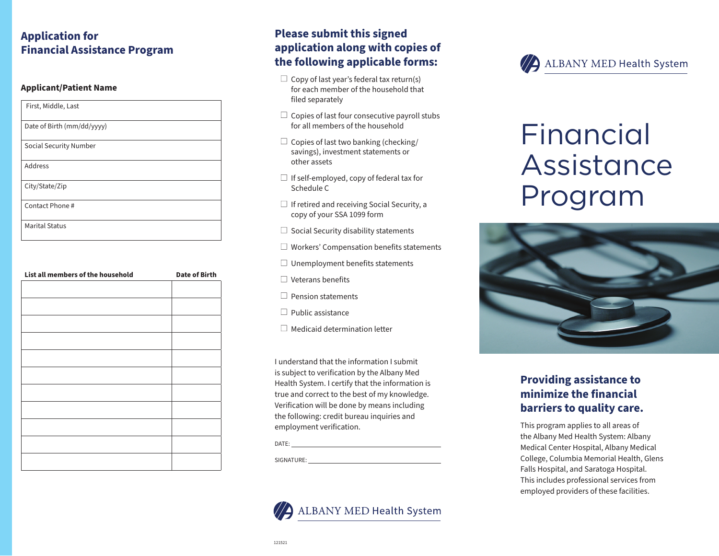# **Application for Financial Assistance Program**

#### **Applicant/Patient Name**

| First, Middle, Last        |
|----------------------------|
| Date of Birth (mm/dd/yyyy) |
| Social Security Number     |
| Address                    |
| City/State/Zip             |
| Contact Phone#             |
| <b>Marital Status</b>      |

| List all members of the household | <b>Date of Birth</b> |
|-----------------------------------|----------------------|
|                                   |                      |
|                                   |                      |
|                                   |                      |
|                                   |                      |
|                                   |                      |
|                                   |                      |
|                                   |                      |
|                                   |                      |
|                                   |                      |
|                                   |                      |
|                                   |                      |
|                                   |                      |
|                                   |                      |
|                                   |                      |
|                                   |                      |
|                                   |                      |

# **Please submit this signed application along with copies of the following applicable forms:**

- $\Box$  Copy of last year's federal tax return(s) for each member of the household that filed separately
- $\Box$  Copies of last four consecutive payroll stubs for all members of the household
- $\square$  Copies of last two banking (checking/ savings), investment statements or other assets
- $\Box$  If self-employed, copy of federal tax for Schedule C
- $\Box$  If retired and receiving Social Security, a copy of your SSA 1099 form
- $\square$  Social Security disability statements
- $\Box$  Workers' Compensation benefits statements
- $\Box$  Unemployment benefits statements
- Veterans benefits
- $\Box$  Pension statements
- $\Box$  Public assistance
- $\Box$  Medicaid determination letter

I understand that the information I submit is subject to verification by the Albany Med Health System. I certify that the information is true and correct to the best of my knowledge. Verification will be done by means including the following: credit bureau inquiries and employment verification.

DATE:

SIGNATURE:





# Financial Assistance Program



# **Providing assistance to minimize the financial barriers to quality care.**

This program applies to all areas of the Albany Med Health System: Albany Medical Center Hospital, Albany Medical College, Columbia Memorial Health, Glens Falls Hospital, and Saratoga Hospital. This includes professional services from employed providers of these facilities.